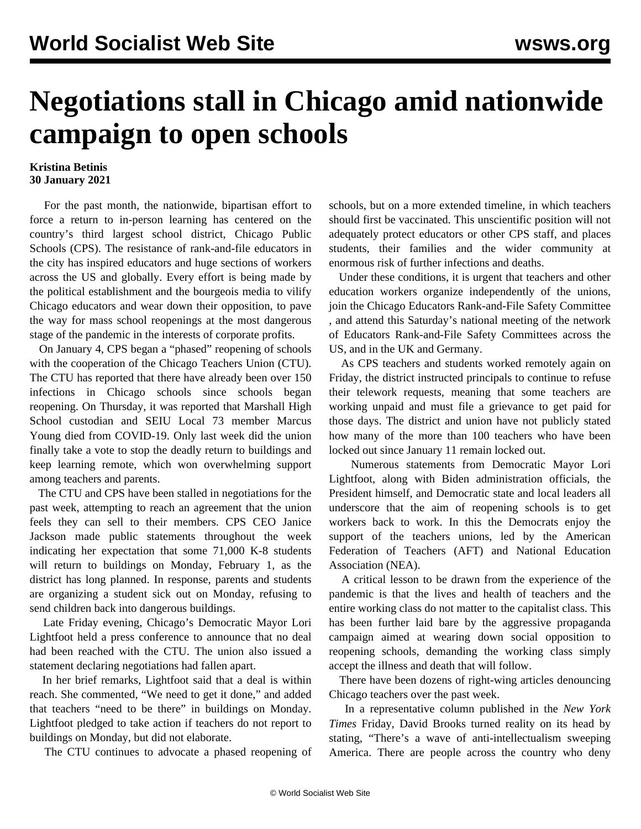## **Negotiations stall in Chicago amid nationwide campaign to open schools**

## **Kristina Betinis 30 January 2021**

 For the past month, the nationwide, bipartisan effort to force a return to in-person learning has centered on the country's third largest school district, Chicago Public Schools (CPS). The resistance of rank-and-file educators in the city has inspired educators and huge sections of workers across the US and globally. Every effort is being made by the political establishment and the bourgeois media to vilify Chicago educators and wear down their opposition, to pave the way for mass school reopenings at the most dangerous stage of the pandemic in the interests of corporate profits.

 On January 4, CPS began a "phased" reopening of schools with the cooperation of the Chicago Teachers Union (CTU). The CTU has reported that there have already been over 150 infections in Chicago schools since schools began reopening. On Thursday, it was reported that Marshall High School custodian and SEIU Local 73 member Marcus Young died from COVID-19. Only last week did the union finally take a vote to stop the deadly return to buildings and keep learning remote, which won overwhelming support among teachers and parents.

 The CTU and CPS have been stalled in negotiations for the past week, attempting to reach an agreement that the union feels they can sell to their members. CPS CEO Janice Jackson made public statements throughout the week indicating her expectation that some 71,000 K-8 students will return to buildings on Monday, February 1, as the district has long planned. In response, parents and students are organizing a student sick out on Monday, refusing to send children back into dangerous buildings.

 Late Friday evening, Chicago's Democratic Mayor Lori Lightfoot held a press conference to announce that no deal had been reached with the CTU. The union also issued a statement declaring negotiations had fallen apart.

 In her brief remarks, Lightfoot said that a deal is within reach. She commented, "We need to get it done," and added that teachers "need to be there" in buildings on Monday. Lightfoot pledged to take action if teachers do not report to buildings on Monday, but did not elaborate.

The CTU continues to advocate a phased reopening of

schools, but on a more extended timeline, in which teachers should first be vaccinated. This unscientific position will not adequately protect educators or other CPS staff, and places students, their families and the wider community at enormous risk of further infections and deaths.

 Under these conditions, it is urgent that teachers and other education workers organize independently of the unions, [join the Chicago Educators Rank-and-File Safety Committee](/edsafety) , and [attend this Saturday's national meeting](https://register.gotowebinar.com/register/7265189519408431632) of the network of Educators Rank-and-File Safety Committees across the US, and in the UK and Germany.

 As CPS teachers and students worked remotely again on Friday, the district instructed principals to continue to refuse their telework requests, meaning that some teachers are working unpaid and must file a grievance to get paid for those days. The district and union have not publicly stated how many of the more than 100 teachers [who have been](/en/articles/2021/01/13/chic-j13.html) [locked out since January 11](/en/articles/2021/01/13/chic-j13.html) remain locked out.

 Numerous statements from Democratic Mayor Lori Lightfoot, along with Biden administration officials, the President himself, and Democratic state and local leaders all underscore that the aim of reopening schools is [to get](/en/articles/2021/01/26/educ-j26.html) [workers back to work](/en/articles/2021/01/26/educ-j26.html). In this the Democrats enjoy the support of the teachers unions, led by the American Federation of Teachers (AFT) and National Education Association (NEA).

 A critical lesson to be drawn from the experience of the pandemic is that the lives and health of teachers and the entire working class do not matter to the capitalist class. This has been further laid bare by the [aggressive propaganda](/en/articles/2021/01/27/pers-j27.html) [campaign](/en/articles/2021/01/27/pers-j27.html) aimed at wearing down social opposition to reopening schools, demanding the working class simply accept the illness and death that will follow.

 There have been dozens of right-wing articles denouncing Chicago teachers over the past week.

 In a representative column published in the *New York Times* Friday, David Brooks turned reality on its head by stating, "There's a wave of anti-intellectualism sweeping America. There are people across the country who deny